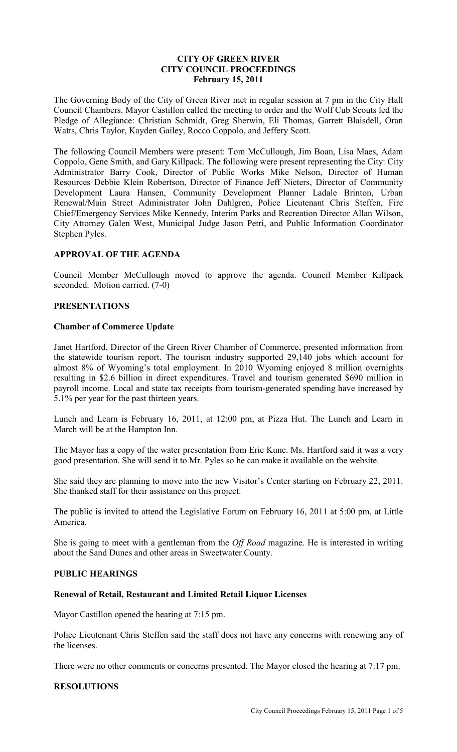### **CITY OF GREEN RIVER CITY COUNCIL PROCEEDINGS February 15, 2011**

The Governing Body of the City of Green River met in regular session at 7 pm in the City Hall Council Chambers. Mayor Castillon called the meeting to order and the Wolf Cub Scouts led the Pledge of Allegiance: Christian Schmidt, Greg Sherwin, Eli Thomas, Garrett Blaisdell, Oran Watts, Chris Taylor, Kayden Gailey, Rocco Coppolo, and Jeffery Scott.

The following Council Members were present: Tom McCullough, Jim Boan, Lisa Maes, Adam Coppolo, Gene Smith, and Gary Killpack. The following were present representing the City: City Administrator Barry Cook, Director of Public Works Mike Nelson, Director of Human Resources Debbie Klein Robertson, Director of Finance Jeff Nieters, Director of Community Development Laura Hansen, Community Development Planner Ladale Brinton, Urban Renewal/Main Street Administrator John Dahlgren, Police Lieutenant Chris Steffen, Fire Chief/Emergency Services Mike Kennedy, Interim Parks and Recreation Director Allan Wilson, City Attorney Galen West, Municipal Judge Jason Petri, and Public Information Coordinator Stephen Pyles.

### **APPROVAL OF THE AGENDA**

Council Member McCullough moved to approve the agenda. Council Member Killpack seconded. Motion carried. (7-0)

### **PRESENTATIONS**

#### **Chamber of Commerce Update**

Janet Hartford, Director of the Green River Chamber of Commerce, presented information from the statewide tourism report. The tourism industry supported 29,140 jobs which account for almost 8% of Wyoming's total employment. In 2010 Wyoming enjoyed 8 million overnights resulting in \$2.6 billion in direct expenditures. Travel and tourism generated \$690 million in payroll income. Local and state tax receipts from tourism-generated spending have increased by 5.1% per year for the past thirteen years.

Lunch and Learn is February 16, 2011, at 12:00 pm, at Pizza Hut. The Lunch and Learn in March will be at the Hampton Inn.

The Mayor has a copy of the water presentation from Eric Kune. Ms. Hartford said it was a very good presentation. She will send it to Mr. Pyles so he can make it available on the website.

She said they are planning to move into the new Visitor's Center starting on February 22, 2011. She thanked staff for their assistance on this project.

The public is invited to attend the Legislative Forum on February 16, 2011 at 5:00 pm, at Little America.

She is going to meet with a gentleman from the *Off Road* magazine. He is interested in writing about the Sand Dunes and other areas in Sweetwater County.

#### **PUBLIC HEARINGS**

#### **Renewal of Retail, Restaurant and Limited Retail Liquor Licenses**

Mayor Castillon opened the hearing at 7:15 pm.

Police Lieutenant Chris Steffen said the staff does not have any concerns with renewing any of the licenses.

There were no other comments or concerns presented. The Mayor closed the hearing at 7:17 pm.

### **RESOLUTIONS**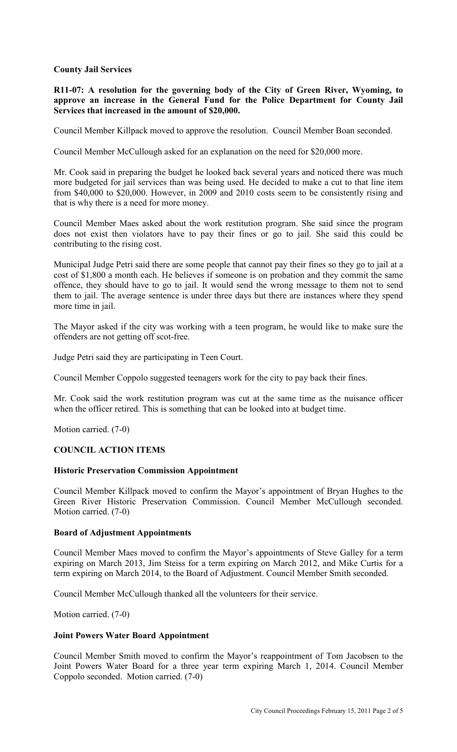### **County Jail Services**

**R11-07: A resolution for the governing body of the City of Green River, Wyoming, to approve an increase in the General Fund for the Police Department for County Jail Services that increased in the amount of \$20,000.**

Council Member Killpack moved to approve the resolution. Council Member Boan seconded.

Council Member McCullough asked for an explanation on the need for \$20,000 more.

Mr. Cook said in preparing the budget he looked back several years and noticed there was much more budgeted for jail services than was being used. He decided to make a cut to that line item from \$40,000 to \$20,000. However, in 2009 and 2010 costs seem to be consistently rising and that is why there is a need for more money.

Council Member Maes asked about the work restitution program. She said since the program does not exist then violators have to pay their fines or go to jail. She said this could be contributing to the rising cost.

Municipal Judge Petri said there are some people that cannot pay their fines so they go to jail at a cost of \$1,800 a month each. He believes if someone is on probation and they commit the same offence, they should have to go to jail. It would send the wrong message to them not to send them to jail. The average sentence is under three days but there are instances where they spend more time in jail.

The Mayor asked if the city was working with a teen program, he would like to make sure the offenders are not getting off scot-free.

Judge Petri said they are participating in Teen Court.

Council Member Coppolo suggested teenagers work for the city to pay back their fines.

Mr. Cook said the work restitution program was cut at the same time as the nuisance officer when the officer retired. This is something that can be looked into at budget time.

Motion carried. (7-0)

### **COUNCIL ACTION ITEMS**

#### **Historic Preservation Commission Appointment**

Council Member Killpack moved to confirm the Mayor's appointment of Bryan Hughes to the Green River Historic Preservation Commission. Council Member McCullough seconded. Motion carried. (7-0)

#### **Board of Adjustment Appointments**

Council Member Maes moved to confirm the Mayor's appointments of Steve Galley for a term expiring on March 2013, Jim Steiss for a term expiring on March 2012, and Mike Curtis for a term expiring on March 2014, to the Board of Adjustment. Council Member Smith seconded.

Council Member McCullough thanked all the volunteers for their service.

Motion carried. (7-0)

#### **Joint Powers Water Board Appointment**

Council Member Smith moved to confirm the Mayor's reappointment of Tom Jacobsen to the Joint Powers Water Board for a three year term expiring March 1, 2014. Council Member Coppolo seconded. Motion carried. (7-0)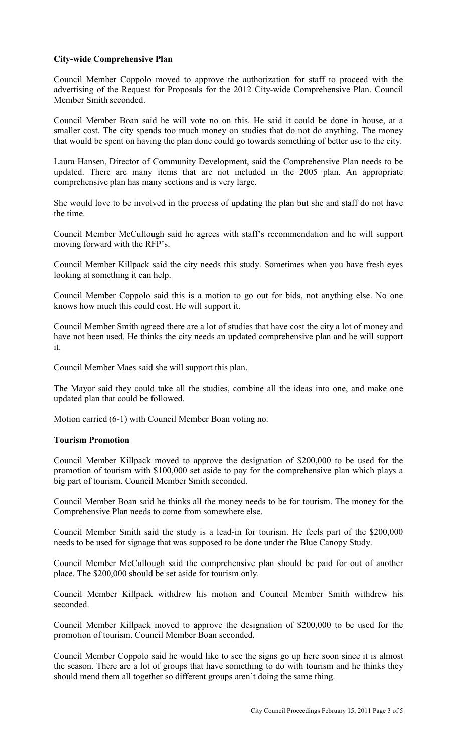### **City-wide Comprehensive Plan**

Council Member Coppolo moved to approve the authorization for staff to proceed with the advertising of the Request for Proposals for the 2012 City-wide Comprehensive Plan. Council Member Smith seconded.

Council Member Boan said he will vote no on this. He said it could be done in house, at a smaller cost. The city spends too much money on studies that do not do anything. The money that would be spent on having the plan done could go towards something of better use to the city.

Laura Hansen, Director of Community Development, said the Comprehensive Plan needs to be updated. There are many items that are not included in the 2005 plan. An appropriate comprehensive plan has many sections and is very large.

She would love to be involved in the process of updating the plan but she and staff do not have the time.

Council Member McCullough said he agrees with staff's recommendation and he will support moving forward with the RFP's.

Council Member Killpack said the city needs this study. Sometimes when you have fresh eyes looking at something it can help.

Council Member Coppolo said this is a motion to go out for bids, not anything else. No one knows how much this could cost. He will support it.

Council Member Smith agreed there are a lot of studies that have cost the city a lot of money and have not been used. He thinks the city needs an updated comprehensive plan and he will support it.

Council Member Maes said she will support this plan.

The Mayor said they could take all the studies, combine all the ideas into one, and make one updated plan that could be followed.

Motion carried (6-1) with Council Member Boan voting no.

### **Tourism Promotion**

Council Member Killpack moved to approve the designation of \$200,000 to be used for the promotion of tourism with \$100,000 set aside to pay for the comprehensive plan which plays a big part of tourism. Council Member Smith seconded.

Council Member Boan said he thinks all the money needs to be for tourism. The money for the Comprehensive Plan needs to come from somewhere else.

Council Member Smith said the study is a lead-in for tourism. He feels part of the \$200,000 needs to be used for signage that was supposed to be done under the Blue Canopy Study.

Council Member McCullough said the comprehensive plan should be paid for out of another place. The \$200,000 should be set aside for tourism only.

Council Member Killpack withdrew his motion and Council Member Smith withdrew his seconded.

Council Member Killpack moved to approve the designation of \$200,000 to be used for the promotion of tourism. Council Member Boan seconded.

Council Member Coppolo said he would like to see the signs go up here soon since it is almost the season. There are a lot of groups that have something to do with tourism and he thinks they should mend them all together so different groups aren't doing the same thing.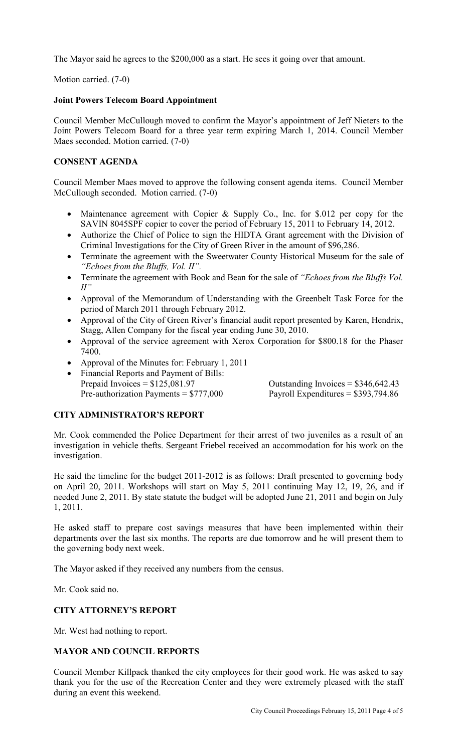The Mayor said he agrees to the \$200,000 as a start. He sees it going over that amount.

Motion carried. (7-0)

### **Joint Powers Telecom Board Appointment**

Council Member McCullough moved to confirm the Mayor's appointment of Jeff Nieters to the Joint Powers Telecom Board for a three year term expiring March 1, 2014. Council Member Maes seconded. Motion carried. (7-0)

## **CONSENT AGENDA**

Council Member Maes moved to approve the following consent agenda items. Council Member McCullough seconded. Motion carried. (7-0)

- Maintenance agreement with Copier & Supply Co., Inc. for \$.012 per copy for the SAVIN 8045SPF copier to cover the period of February 15, 2011 to February 14, 2012.
- Authorize the Chief of Police to sign the HIDTA Grant agreement with the Division of Criminal Investigations for the City of Green River in the amount of \$96,286.
- Terminate the agreement with the Sweetwater County Historical Museum for the sale of *"Echoes from the Bluffs, Vol. II".*
- Terminate the agreement with Book and Bean for the sale of *"Echoes from the Bluffs Vol.*   $I\!\!I$ <sup>"</sup>
- Approval of the Memorandum of Understanding with the Greenbelt Task Force for the period of March 2011 through February 2012.
- Approval of the City of Green River's financial audit report presented by Karen, Hendrix, Stagg, Allen Company for the fiscal year ending June 30, 2010.
- Approval of the service agreement with Xerox Corporation for \$800.18 for the Phaser 7400.
- Approval of the Minutes for: February 1, 2011
- Financial Reports and Payment of Bills: Prepaid Invoices =  $$125,081.97$  Outstanding Invoices =  $$346,642.43$ Pre-authorization Payments =  $$777,000$  Payroll Expenditures =  $$393,794.86$

# **CITY ADMINISTRATOR'S REPORT**

Mr. Cook commended the Police Department for their arrest of two juveniles as a result of an investigation in vehicle thefts. Sergeant Friebel received an accommodation for his work on the investigation.

He said the timeline for the budget 2011-2012 is as follows: Draft presented to governing body on April 20, 2011. Workshops will start on May 5, 2011 continuing May 12, 19, 26, and if needed June 2, 2011. By state statute the budget will be adopted June 21, 2011 and begin on July 1, 2011.

He asked staff to prepare cost savings measures that have been implemented within their departments over the last six months. The reports are due tomorrow and he will present them to the governing body next week.

The Mayor asked if they received any numbers from the census.

Mr. Cook said no.

# **CITY ATTORNEY'S REPORT**

Mr. West had nothing to report.

# **MAYOR AND COUNCIL REPORTS**

Council Member Killpack thanked the city employees for their good work. He was asked to say thank you for the use of the Recreation Center and they were extremely pleased with the staff during an event this weekend.